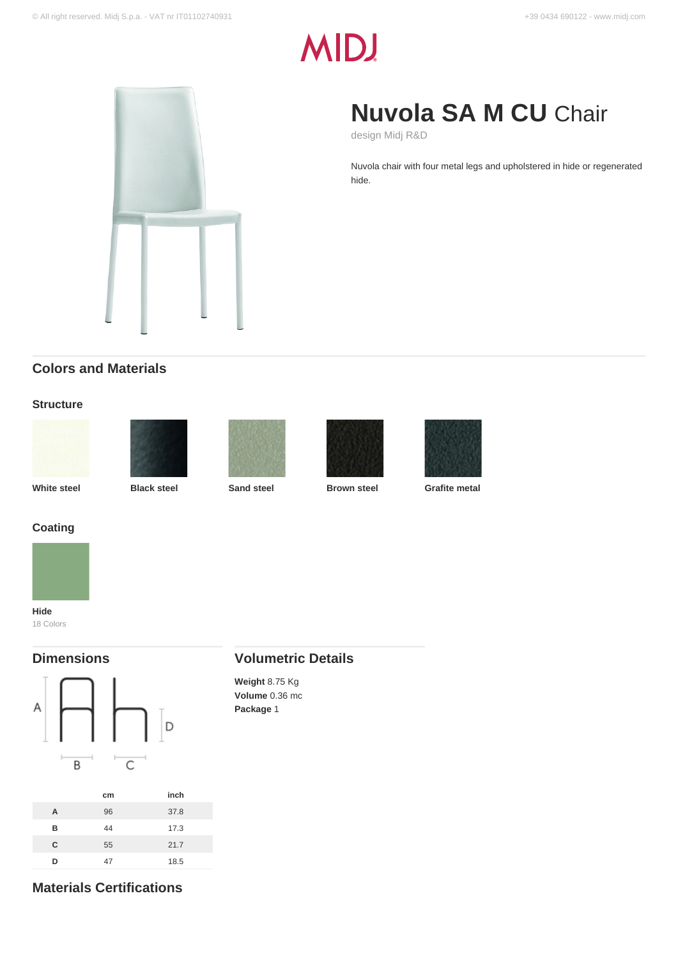# **MIDJ**

## **Nuvola SA M CU** Chair

design Midj R&D

Nuvola chair with four metal legs and upholstered in hide or regenerated hide.

### **Colors and Materials**

### **Structure**











**White steel Black steel Sand steel Brown steel Grafite metal**



18 Colors

### **Dimensions**



### **Volumetric Details**

**Weight** 8.75 Kg **Volume** 0.36 mc **Package** 1

### **Materials Certifications**

**D** 47 18.5